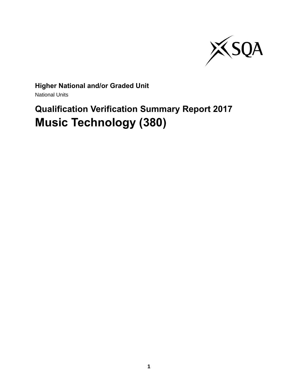

# **Higher National and/or Graded Unit**

National Units

# **Qualification Verification Summary Report 2017 Music Technology (380)**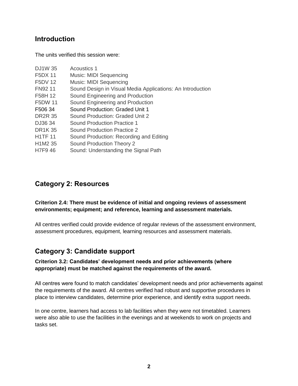## **Introduction**

The units verified this session were:

| <b>DJ1W35</b>  | <b>Acoustics 1</b>                                         |
|----------------|------------------------------------------------------------|
| <b>F5DX 11</b> | Music: MIDI Sequencing                                     |
| <b>F5DV 12</b> | Music: MIDI Sequencing                                     |
| FN92 11        | Sound Design in Visual Media Applications: An Introduction |
| F58H 12        | Sound Engineering and Production                           |
| <b>F5DW 11</b> | Sound Engineering and Production                           |
| F506 34        | Sound Production: Graded Unit 1                            |
| <b>DR2R 35</b> | Sound Production: Graded Unit 2                            |
| DJ36 34        | Sound Production Practice 1                                |
| <b>DR1K35</b>  | <b>Sound Production Practice 2</b>                         |
| <b>H1TF11</b>  | Sound Production: Recording and Editing                    |
| H1M2 35        | Sound Production Theory 2                                  |
| <b>H7F946</b>  | Sound: Understanding the Signal Path                       |

## **Category 2: Resources**

## **Criterion 2.4: There must be evidence of initial and ongoing reviews of assessment environments; equipment; and reference, learning and assessment materials.**

All centres verified could provide evidence of regular reviews of the assessment environment, assessment procedures, equipment, learning resources and assessment materials.

# **Category 3: Candidate support**

## **Criterion 3.2: Candidates' development needs and prior achievements (where appropriate) must be matched against the requirements of the award.**

All centres were found to match candidates' development needs and prior achievements against the requirements of the award. All centres verified had robust and supportive procedures in place to interview candidates, determine prior experience, and identify extra support needs.

In one centre, learners had access to lab facilities when they were not timetabled. Learners were also able to use the facilities in the evenings and at weekends to work on projects and tasks set.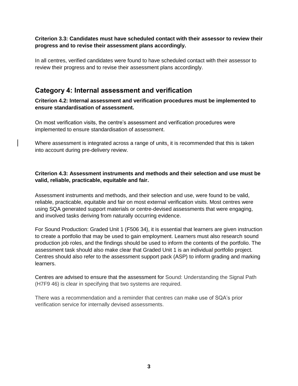## **Criterion 3.3: Candidates must have scheduled contact with their assessor to review their progress and to revise their assessment plans accordingly.**

In all centres, verified candidates were found to have scheduled contact with their assessor to review their progress and to revise their assessment plans accordingly.

## **Category 4: Internal assessment and verification**

**Criterion 4.2: Internal assessment and verification procedures must be implemented to ensure standardisation of assessment.**

On most verification visits, the centre's assessment and verification procedures were implemented to ensure standardisation of assessment.

Where assessment is integrated across a range of units, it is recommended that this is taken into account during pre-delivery review.

## **Criterion 4.3: Assessment instruments and methods and their selection and use must be valid, reliable, practicable, equitable and fair.**

Assessment instruments and methods, and their selection and use, were found to be valid, reliable, practicable, equitable and fair on most external verification visits. Most centres were using SQA generated support materials or centre-devised assessments that were engaging, and involved tasks deriving from naturally occurring evidence.

For Sound Production: Graded Unit 1 (F506 34), it is essential that learners are given instruction to create a portfolio that may be used to gain employment. Learners must also research sound production job roles, and the findings should be used to inform the contents of the portfolio. The assessment task should also make clear that Graded Unit 1 is an individual portfolio project. Centres should also refer to the assessment support pack (ASP) to inform grading and marking learners.

Centres are advised to ensure that the assessment for Sound: Understanding the Signal Path (H7F9 46) is clear in specifying that two systems are required.

There was a recommendation and a reminder that centres can make use of SQA's prior verification service for internally devised assessments.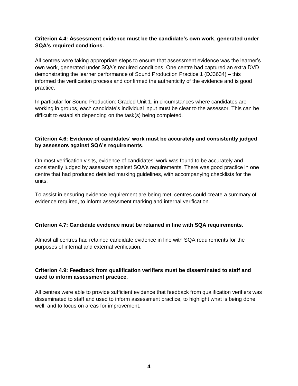## **Criterion 4.4: Assessment evidence must be the candidate's own work, generated under SQA's required conditions.**

All centres were taking appropriate steps to ensure that assessment evidence was the learner's own work, generated under SQA's required conditions. One centre had captured an extra DVD demonstrating the learner performance of Sound Production Practice 1 (DJ3634) – this informed the verification process and confirmed the authenticity of the evidence and is good practice.

In particular for Sound Production: Graded Unit 1, in circumstances where candidates are working in groups, each candidate's individual input must be clear to the assessor. This can be difficult to establish depending on the task(s) being completed.

## **Criterion 4.6: Evidence of candidates' work must be accurately and consistently judged by assessors against SQA's requirements.**

On most verification visits, evidence of candidates' work was found to be accurately and consistently judged by assessors against SQA's requirements. There was good practice in one centre that had produced detailed marking guidelines, with accompanying checklists for the units.

To assist in ensuring evidence requirement are being met, centres could create a summary of evidence required, to inform assessment marking and internal verification.

#### **Criterion 4.7: Candidate evidence must be retained in line with SQA requirements.**

Almost all centres had retained candidate evidence in line with SQA requirements for the purposes of internal and external verification.

## **Criterion 4.9: Feedback from qualification verifiers must be disseminated to staff and used to inform assessment practice.**

All centres were able to provide sufficient evidence that feedback from qualification verifiers was disseminated to staff and used to inform assessment practice, to highlight what is being done well, and to focus on areas for improvement.